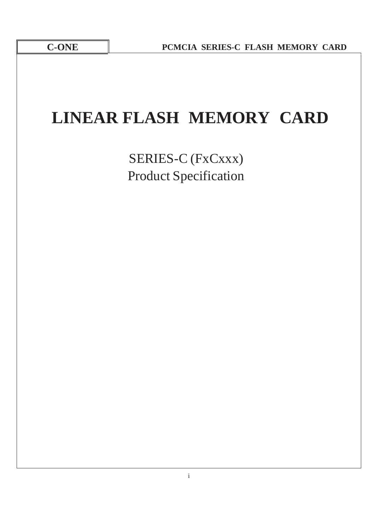# **LINEAR FLASH MEMORY CARD**

SERIES-C (FxCxxx) Product Specification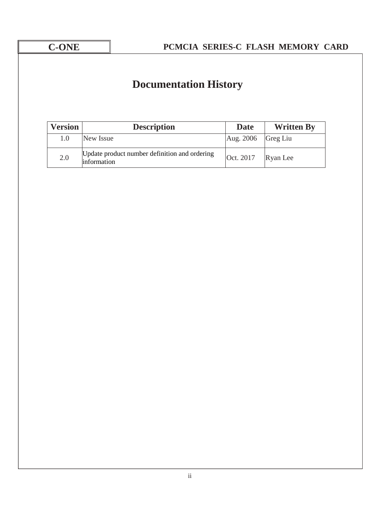## **Documentation History**

| <b>Version</b> | <b>Description</b>                                           | <b>Date</b>                  | <b>Written By</b> |
|----------------|--------------------------------------------------------------|------------------------------|-------------------|
| $1.0\,$        | New Issue                                                    | $\text{Aug. } 2006$ Greg Liu |                   |
| 2.0            | Update product number definition and ordering<br>information | Oct. 2017                    | Ryan Lee          |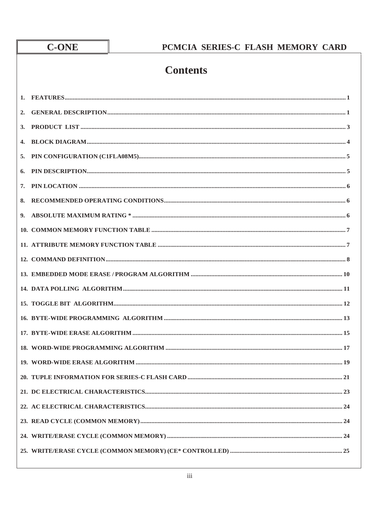## C-ONE

## PCMCIA SERIES-C FLASH MEMORY CARD

## **Contents**

| 2. |  |
|----|--|
| 3. |  |
| 4. |  |
| 5. |  |
| 6. |  |
| 7. |  |
| 8. |  |
| 9. |  |
|    |  |
|    |  |
|    |  |
|    |  |
|    |  |
|    |  |
|    |  |
|    |  |
|    |  |
|    |  |
|    |  |
|    |  |
|    |  |
|    |  |
|    |  |
|    |  |
|    |  |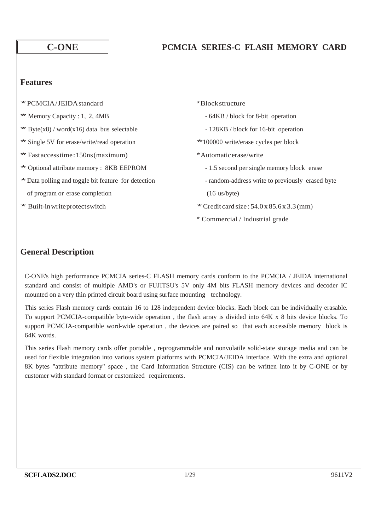### **Features**

- \*PCMCIA/JEIDAstandard \*Blockstructure
- 
- \* Byte(x8) / word(x16) data bus selectable  $-128KB$  / block for 16-bit operation
- \* Single 5V for erase/write/read operation \* 100000 write/erase cycles per block
- \* Fastaccess time: 150ns (maximum) \* \* Automatic erase/write
- \* Optional attribute memory : 8KB EEPROM 1.5 second per single memory block erase
- \* Data polling and toggle bit feature for detection random-address write to previously erased byte of program or erase completion (16 us/byte)
- 
- 
- $*$  Memory Capacity : 1, 2, 4MB  $-64KB$  / block for 8-bit operation
	-
	-
	- -
		-

- \* Built-in write protects witch \*  $\text{Credit card size} : 54.0 \times 85.6 \times 3.3 \, \text{(mm)}$ 
	- \* Commercial / Industrial grade

## **General Description**

C-ONE's high performance PCMCIA series-C FLASH memory cards conform to the PCMCIA / JEIDA international standard and consist of multiple AMD's or FUJITSU's 5V only 4M bits FLASH memory devices and decoder IC mounted on a very thin printed circuit board using surface mounting technology.

This series Flash memory cards contain 16 to 128 independent device blocks. Each block can be individually erasable. To support PCMCIA-compatible byte-wide operation , the flash array is divided into 64K x 8 bits device blocks. To support PCMCIA-compatible word-wide operation , the devices are paired so that each accessible memory block is 64K words.

This series Flash memory cards offer portable , reprogrammable and nonvolatile solid-state storage media and can be used for flexible integration into various system platforms with PCMCIA/JEIDA interface. With the extra and optional 8K bytes "attribute memory" space , the Card Information Structure (CIS) can be written into it by C-ONE or by customer with standard format or customized requirements.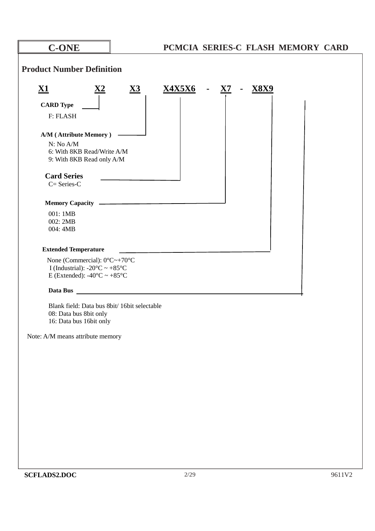| <b>C-ONE</b>                                                                                                               | PCMCIA SERIES-C FLASH MEMORY CARD                                                     |
|----------------------------------------------------------------------------------------------------------------------------|---------------------------------------------------------------------------------------|
| <b>Product Number Definition</b>                                                                                           |                                                                                       |
| $\underline{\mathbf{X1}}$<br>$\underline{\mathbf{X2}}$                                                                     | $\underline{\mathbf{X3}}$<br><u>X4X5X6</u><br>- $X7$<br><b>X8X9</b><br>$\blacksquare$ |
| <b>CARD Type</b>                                                                                                           |                                                                                       |
| F: FLASH                                                                                                                   |                                                                                       |
|                                                                                                                            |                                                                                       |
| A/M (Attribute Memory)                                                                                                     |                                                                                       |
| N: No A/M                                                                                                                  |                                                                                       |
| 6: With 8KB Read/Write A/M                                                                                                 |                                                                                       |
| 9: With 8KB Read only A/M                                                                                                  |                                                                                       |
| <b>Card Series</b>                                                                                                         |                                                                                       |
| $C = Series-C$                                                                                                             |                                                                                       |
|                                                                                                                            |                                                                                       |
|                                                                                                                            |                                                                                       |
| 001:1MB                                                                                                                    |                                                                                       |
| 002: 2MB                                                                                                                   |                                                                                       |
| 004: 4MB                                                                                                                   |                                                                                       |
| <b>Extended Temperature</b>                                                                                                |                                                                                       |
| None (Commercial): $0^{\circ}C \rightarrow +70^{\circ}C$<br>I (Industrial): $-20^{\circ}\text{C} \sim +85^{\circ}\text{C}$ |                                                                                       |
| E (Extended): -40 $\rm{^{\circ}C} \sim +85\rm{^{\circ}C}$                                                                  |                                                                                       |
| Data Bus                                                                                                                   |                                                                                       |
| Blank field: Data bus 8bit/ 16bit selectable                                                                               |                                                                                       |
| 08: Data bus 8bit only                                                                                                     |                                                                                       |
| 16: Data bus 16bit only                                                                                                    |                                                                                       |
| Note: A/M means attribute memory                                                                                           |                                                                                       |
|                                                                                                                            |                                                                                       |
|                                                                                                                            |                                                                                       |
|                                                                                                                            |                                                                                       |
|                                                                                                                            |                                                                                       |
|                                                                                                                            |                                                                                       |
|                                                                                                                            |                                                                                       |
|                                                                                                                            |                                                                                       |
|                                                                                                                            |                                                                                       |
|                                                                                                                            |                                                                                       |
|                                                                                                                            |                                                                                       |
|                                                                                                                            |                                                                                       |
|                                                                                                                            |                                                                                       |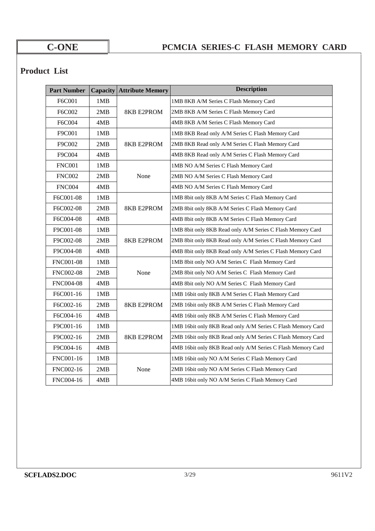## **Product List**

| <b>Part Number</b> |     | <b>Capacity Attribute Memory</b>                            | <b>Description</b>                                          |  |  |  |  |  |  |
|--------------------|-----|-------------------------------------------------------------|-------------------------------------------------------------|--|--|--|--|--|--|
| F6C001             | 1MB |                                                             | 1MB 8KB A/M Series C Flash Memory Card                      |  |  |  |  |  |  |
| F6C002             | 2MB | <b>8KB E2PROM</b>                                           | 2MB 8KB A/M Series C Flash Memory Card                      |  |  |  |  |  |  |
| F6C004             | 4MB |                                                             | 4MB 8KB A/M Series C Flash Memory Card                      |  |  |  |  |  |  |
| F9C001             | 1MB |                                                             | 1MB 8KB Read only A/M Series C Flash Memory Card            |  |  |  |  |  |  |
| F9C002             | 2MB | <b>8KB E2PROM</b>                                           | 2MB 8KB Read only A/M Series C Flash Memory Card            |  |  |  |  |  |  |
| F9C004             | 4MB |                                                             | 4MB 8KB Read only A/M Series C Flash Memory Card            |  |  |  |  |  |  |
| <b>FNC001</b>      | 1MB |                                                             | 1MB NO A/M Series C Flash Memory Card                       |  |  |  |  |  |  |
| <b>FNC002</b>      | 2MB | None                                                        | 2MB NO A/M Series C Flash Memory Card                       |  |  |  |  |  |  |
| <b>FNC004</b>      | 4MB |                                                             | 4MB NO A/M Series C Flash Memory Card                       |  |  |  |  |  |  |
| F6C001-08          | 1MB |                                                             | 1MB 8bit only 8KB A/M Series C Flash Memory Card            |  |  |  |  |  |  |
| F6C002-08          | 2MB | <b>8KB E2PROM</b>                                           | 2MB 8bit only 8KB A/M Series C Flash Memory Card            |  |  |  |  |  |  |
| F6C004-08          | 4MB |                                                             | 4MB 8bit only 8KB A/M Series C Flash Memory Card            |  |  |  |  |  |  |
| F9C001-08          | 1MB |                                                             | 1MB 8bit only 8KB Read only A/M Series C Flash Memory Card  |  |  |  |  |  |  |
| F9C002-08          | 2MB | <b>8KB E2PROM</b>                                           | 2MB 8bit only 8KB Read only A/M Series C Flash Memory Card  |  |  |  |  |  |  |
| F9C004-08          | 4MB |                                                             | 4MB 8bit only 8KB Read only A/M Series C Flash Memory Card  |  |  |  |  |  |  |
| <b>FNC001-08</b>   | 1MB |                                                             | 1MB 8bit only NO A/M Series C Flash Memory Card             |  |  |  |  |  |  |
| <b>FNC002-08</b>   | 2MB | None                                                        | 2MB 8bit only NO A/M Series C Flash Memory Card             |  |  |  |  |  |  |
| <b>FNC004-08</b>   | 4MB |                                                             | 4MB 8bit only NO A/M Series C Flash Memory Card             |  |  |  |  |  |  |
| F6C001-16          | 1MB |                                                             | 1MB 16bit only 8KB A/M Series C Flash Memory Card           |  |  |  |  |  |  |
| F6C002-16          | 2MB | <b>8KB E2PROM</b>                                           | 2MB 16bit only 8KB A/M Series C Flash Memory Card           |  |  |  |  |  |  |
| F6C004-16          | 4MB |                                                             | 4MB 16bit only 8KB A/M Series C Flash Memory Card           |  |  |  |  |  |  |
| F9C001-16          | 1MB |                                                             | 1MB 16bit only 8KB Read only A/M Series C Flash Memory Card |  |  |  |  |  |  |
| F9C002-16          | 2MB | 8KB E2PROM                                                  | 2MB 16bit only 8KB Read only A/M Series C Flash Memory Card |  |  |  |  |  |  |
| F9C004-16          | 4MB | 4MB 16bit only 8KB Read only A/M Series C Flash Memory Card |                                                             |  |  |  |  |  |  |
| FNC001-16          | 1MB |                                                             | 1MB 16bit only NO A/M Series C Flash Memory Card            |  |  |  |  |  |  |
| FNC002-16          | 2MB | None                                                        | 2MB 16bit only NO A/M Series C Flash Memory Card            |  |  |  |  |  |  |
| FNC004-16          | 4MB |                                                             | 4MB 16bit only NO A/M Series C Flash Memory Card            |  |  |  |  |  |  |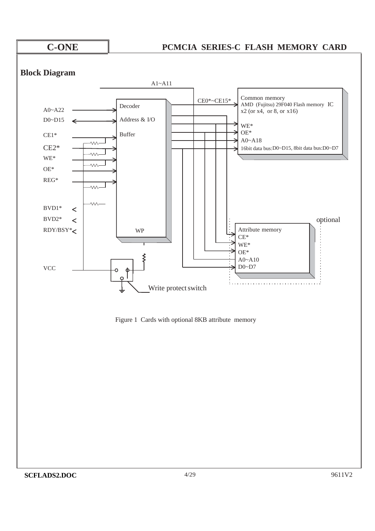

### **Block Diagram**



Figure 1 Cards with optional 8KB attribute memory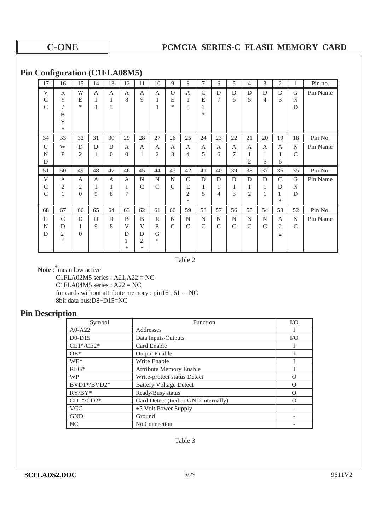### **Pin Configuration (C1FLA08M5)**

| 17            | 16            | 15       | 14 | 13             | 12       | 11             | 10            | 9             | 8             | 7            | 6  | 5             | 4              | 3             | 2              | 1             | Pin no.  |
|---------------|---------------|----------|----|----------------|----------|----------------|---------------|---------------|---------------|--------------|----|---------------|----------------|---------------|----------------|---------------|----------|
| V             | $\mathbb{R}$  | W        | A  | $\mathbf{A}$   | A        | A              | A             | $\Omega$      | $\mathbf{A}$  | $\mathsf{C}$ | D  | D             | D              | D             | D              | $\mathsf G$   | Pin Name |
| C             | Y             | E        | 1  | 1              | 8        | 9              | 1             | E             | 1             | E            | 7  | 6             | 5              | 4             | 3              | N             |          |
| $\mathcal{C}$ |               | *        | 4  | 3              |          |                | 1             | $\ast$        | $\theta$      | 1            |    |               |                |               |                | D             |          |
|               | B             |          |    |                |          |                |               |               |               | $\ast$       |    |               |                |               |                |               |          |
|               | Y             |          |    |                |          |                |               |               |               |              |    |               |                |               |                |               |          |
|               | ∗             |          |    |                |          |                |               |               |               |              |    |               |                |               |                |               |          |
| 34            | 33            | 32       | 31 | 30             | 29       | 28             | 27            | 26            | 25            | 24           | 23 | 22            | 21             | 20            | 19             | 18            | Pin No.  |
| G             | W             | D        | D  | D              | A        | A              | A             | A             | A             | A            | A  | A             | A              | A             | A              | N             | Pin Name |
| N             | $\mathbf{P}$  | 2        | 1  | $\overline{0}$ | $\theta$ | 1              | 2             | 3             | 4             | 5            | 6  | 7             | 1              | 1             | 1              | $\mathcal{C}$ |          |
| D             |               |          |    |                |          |                |               |               |               |              |    |               | $\overline{2}$ | 5             | 6              |               |          |
| 51            | 50            | 49       | 48 | 47             | 46       | 45             | 44            | 43            | 42            | 41           | 40 | 39            | 38             | 37            | 36             | 35            | Pin No.  |
| V             | A             | A        | A  | $\mathbf{A}$   | A        | N              | $\mathbf N$   | $\mathbf N$   | $\mathcal{C}$ | D            | D  | D             | D              | D             | $\mathcal{C}$  | G             | Pin Name |
|               |               |          |    |                |          |                |               |               |               |              |    |               |                |               |                |               |          |
| C             | 2             | 2        | 1  | 1              | 1        | $\overline{C}$ | $\mathcal{C}$ | $\mathcal{C}$ | E             | 1            | 1  | 1             | 1              | 1             | D              | N             |          |
| $\mathsf{C}$  | $\mathbf{1}$  | $\Omega$ | 9  | 8              | 7        |                |               |               | 2             | 5            | 4  | 3             | 2              | 1             | 1              | D             |          |
|               |               |          |    |                |          |                |               |               | $\ast$        |              |    |               |                |               | ∗              |               |          |
| 68            | 67            | 66       | 65 | 64             | 63       | 62             | 61            | 60            | 59            | 58           | 57 | 56            | 55             | 54            | 53             | 52            | Pin No.  |
| G             | $\mathcal{C}$ | D        | D  | D              | B        | B              | $\mathbb{R}$  | $\mathbf N$   | N             | N            | N  | N             | N              | N             | A              | N             | Pin Name |
| N             | D             | 1        | 9  | 8              | V        | V              | E             | $\mathcal{C}$ | $\mathcal{C}$ | $\mathsf{C}$ | C  | $\mathcal{C}$ | $\mathcal{C}$  | $\mathcal{C}$ | 2              | $\mathsf{C}$  |          |
| D             | 2             | $\Omega$ |    |                | D        | D              | G             |               |               |              |    |               |                |               | $\overline{2}$ |               |          |
|               | *             |          |    |                | 1        | 2              | *             |               |               |              |    |               |                |               |                |               |          |

Table 2

**Note** : \*mean low active

C1FLA02M5 series : A21,A22 = NC

 $CIFLA04M5$  series :  $A22 = NC$ 

for cards without attribute memory :  $pin16$ ,  $61 = NC$ 

8bit data bus:D8~D15=NC

## **Pin Description**

| Symbol         | <b>Function</b>                      | I/O      |
|----------------|--------------------------------------|----------|
| $A0-A22$       | Addresses                            |          |
| $D0-D15$       | Data Inputs/Outputs                  | I/O      |
| $CE1*/CE2*$    | Card Enable                          |          |
| $OE*$          | <b>Output Enable</b>                 |          |
| $WE^*$         | <b>Write Enable</b>                  |          |
| $REG*$         | <b>Attribute Memory Enable</b>       |          |
| <b>WP</b>      | Write-protect status Detect          | ∩        |
| $BVD1*/BVD2*$  | <b>Battery Voltage Detect</b>        | $\Omega$ |
| $RY/BY^*$      | Ready/Busy status                    | ∩        |
| $CD1*/CD2*$    | Card Detect (tied to GND internally) | $\Omega$ |
| <b>VCC</b>     | +5 Volt Power Supply                 |          |
| <b>GND</b>     | Ground                               |          |
| N <sub>C</sub> | No Connection                        |          |

Table 3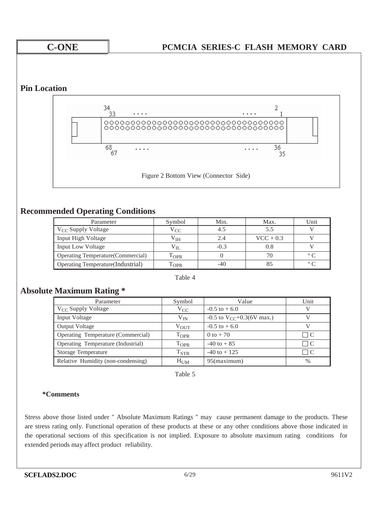### **Pin Location**



### **Recommended Operating Conditions**

| Parameter                                 | Symbol           | Min.   | Max.        | Unit              |
|-------------------------------------------|------------------|--------|-------------|-------------------|
| V <sub>CC</sub> Supply Voltage            | $V_{CC}$         |        | 5.5         |                   |
| <b>Input High Voltage</b>                 | $\rm V_{IH}$     | 2.4    | $VCC + 0.3$ |                   |
| Input Low Voltage                         | Vп               | $-0.3$ | 0.8         |                   |
| <b>Operating Temperature (Commercial)</b> | $1_{\text{OPR}}$ |        | 70          | $^{\circ}$ $\sim$ |
| Operating Temperature (Industrial)        | <b>OPR</b>       | -40    | 85          | $^{\circ}$ $\sim$ |

#### Table 4

### **Absolute Maximum Rating \***

| Parameter                          | Symbol             | Value                                   | Unit      |
|------------------------------------|--------------------|-----------------------------------------|-----------|
| $V_{CC}$ Supply Voltage            | $V_{CC}$           | $-0.5$ to $+6.0$                        |           |
| Input Voltage                      | $V_{IN}$           | $-0.5$ to V <sub>CC</sub> +0.3(6V max.) |           |
| <b>Output Voltage</b>              | $V_{\rm OUT}$      | $-0.5$ to $+6.0$                        |           |
| Operating Temperature (Commercial) | $\mathrm{T_{OPR}}$ | 0 to $+70$                              | $\perp$ C |
| Operating Temperature (Industrial) | $\mathrm{T_{OPR}}$ | $-40$ to $+85$                          |           |
| <b>Storage Temperature</b>         | $T_{STR}$          | $-40$ to $+125$                         | $\perp$ C |
| Relative Humidity (non-condensing) | $H_{UM}$           | 95(maximum)                             | $\%$      |

Table 5

#### **\*Comments**

Stress above those listed under " Absolute Maximum Ratings " may cause permanent damage to the products. These are stress rating only. Functional operation of these products at these or any other conditions above those indicated in the operational sections of this specification is not implied. Exposure to absolute maximum rating conditions for extended periods may affect product reliability.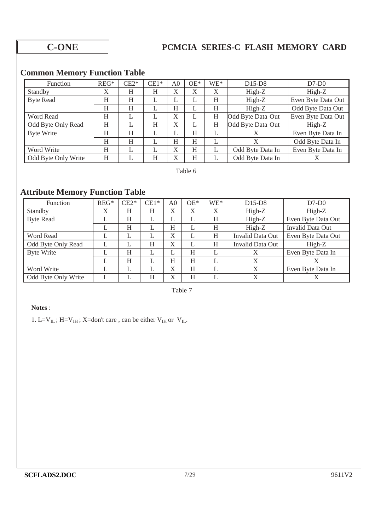## **Common Memory Function Table**

| <b>Function</b>     | $REG*$ | $CE2*$ | $CE1*$ | A <sub>0</sub> | $OE*$ | $WE^*$ | $D15-D8$          | $D7-D0$            |
|---------------------|--------|--------|--------|----------------|-------|--------|-------------------|--------------------|
| Standby             | X      | Н      | H      | X              | X     | X      | High-Z            | $High-Z$           |
| <b>Byte Read</b>    | H      | H      | L      | ⊾              | L     | H      | High-Z            | Even Byte Data Out |
|                     | H      | H      |        | H              | ⊥     | H      | High-Z            | Odd Byte Data Out  |
| Word Read           | Η      | L      |        | X              |       | H      | Odd Byte Data Out | Even Byte Data Out |
| Odd Byte Only Read  | H      | L      | H      | X              |       | H      | Odd Byte Data Out | High-Z             |
| <b>Byte Write</b>   | H      | H      | L      | ⊥              | H     |        |                   | Even Byte Data In  |
|                     | H      | H      |        | H              | H     |        | X                 | Odd Byte Data In   |
| Word Write          | H      |        |        | X              | H     |        | Odd Byte Data In  | Even Byte Data In  |
| Odd Byte Only Write | H      |        | Η      | X              | H     |        | Odd Byte Data In  | Χ                  |

Table 6

## **Attribute Memory Function Table**

| Function            | $REG*$ | $CE2*$ | $CE1*$ | A <sub>0</sub> | $OE*$ | WE* | $D15-D8$         | $D7-D0$            |
|---------------------|--------|--------|--------|----------------|-------|-----|------------------|--------------------|
| Standby             | X      | H      | H      | X              | X     | X   | High-Z           | High-Z             |
| <b>Byte Read</b>    |        | H      | L      | L              |       | H   | High-Z           | Even Byte Data Out |
|                     |        | Н      | L      | Η              |       | Η   | High-Z           | Invalid Data Out   |
| Word Read           |        | L      | ⊥      | X              |       | H   | Invalid Data Out | Even Byte Data Out |
| Odd Byte Only Read  |        | L      | H      | X              |       | H   | Invalid Data Out | High-Z             |
| <b>Byte Write</b>   |        | H      | L      |                | H     | ⊥   | X                | Even Byte Data In  |
|                     |        | H      | ⊥      | H              | H     |     | X                |                    |
| Word Write          |        | L      | ┻      | X              | H     | ⊥   | X                | Even Byte Data In  |
| Odd Byte Only Write |        |        | H      | X              | H     |     | X                |                    |

Table 7

#### **Notes** :

1. L=V $_{\text{IL}}$ ; H=V $_{\text{IH}}$ ; X=don't care, can be either V $_{\text{IH}}$  or V $_{\text{IL}}$ .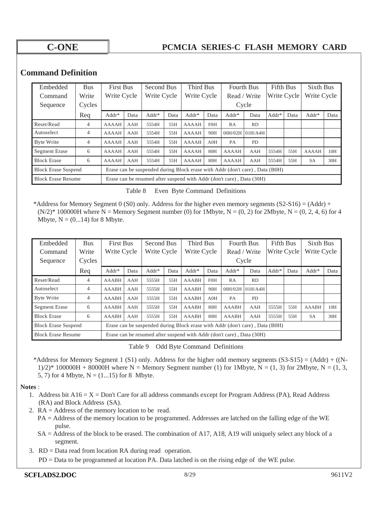### **Command Definition**

|                            |                |              |                  |         |                                                                       | <b>Third Bus</b>                                                             |             |              |                   |             |                  |              |           |  |
|----------------------------|----------------|--------------|------------------|---------|-----------------------------------------------------------------------|------------------------------------------------------------------------------|-------------|--------------|-------------------|-------------|------------------|--------------|-----------|--|
| Embedded                   | <b>Bus</b>     |              | <b>First Bus</b> |         | Second Bus                                                            |                                                                              |             |              | <b>Fourth Bus</b> |             | <b>Fifth Bus</b> |              | Sixth Bus |  |
| Command                    | Write          |              | Write Cycle      |         | Write Cycle                                                           |                                                                              | Write Cycle |              | Read / Write      | Write Cycle |                  | Write Cycle  |           |  |
| Sequence                   | Cycles         |              |                  |         |                                                                       |                                                                              |             | Cycle        |                   |             |                  |              |           |  |
|                            | Req            | $Addr*$      | Data             | $Addr*$ | Data                                                                  | Addr*                                                                        | Data        | Addr*        | Data              | Addr*       | Data             | Addr*        | Data      |  |
| Reset/Read                 | $\overline{4}$ | <b>AAAAH</b> | AAH              | 5554H   | 55H                                                                   | AAAAH                                                                        | <b>FOH</b>  | RA           | <b>RD</b>         |             |                  |              |           |  |
| Autoselect                 | 4              | <b>AAAAH</b> | AAH              | 5554H   | 55H                                                                   | <b>AAAAH</b>                                                                 | 90H         | 00H/02H      | 01H/A4H           |             |                  |              |           |  |
| Byte Write                 | 4              | <b>AAAAH</b> | AAH              | 5554H   | 55H                                                                   | <b>AAAAH</b>                                                                 | AOH         | <b>PA</b>    | <b>PD</b>         |             |                  |              |           |  |
| <b>Segment Erase</b>       | 6              | <b>AAAAH</b> | AAH              | 5554H   | 55H                                                                   | <b>AAAAH</b>                                                                 | 80H         | AAAAH        | AAH               | 5554H       | 55H              | <b>AAAAH</b> | 10H       |  |
| <b>Block Erase</b>         | 6              | <b>AAAAH</b> | AAH              | 5554H   | 55H                                                                   | <b>AAAAH</b>                                                                 | 80H         | <b>AAAAH</b> | AAH               | 5554H       | 55H              | <b>SA</b>    | 30H       |  |
| <b>Block Erase Suspend</b> |                |              |                  |         |                                                                       | Erase can be suspended during Block erase with Addr (don't care), Data (B0H) |             |              |                   |             |                  |              |           |  |
| <b>Block Erase Resume</b>  |                |              |                  |         | Erase can be resumed after suspend with Addr (don't care), Data (30H) |                                                                              |             |              |                   |             |                  |              |           |  |

| Table 8 | Even Byte Command Definitions |  |
|---------|-------------------------------|--|
|         |                               |  |

\*Address for Memory Segment 0 (S0) only. Address for the higher even memory segments  $(S2-S16) = (Addr) +$  $(N/2)^*$  100000H where N = Memory Segment number (0) for 1Mbyte, N = (0, 2) for 2Mbyte, N = (0, 2, 4, 6) for 4 Mbyte,  $N = (0...14)$  for 8 Mbyte.

| Embedded                   | <b>Bus</b>     |              | <b>First Bus</b>                                                             |         | Second Bus  |              | <b>Third Bus</b> |                 | <b>Fourth Bus</b> |         | <b>Fifth Bus</b> |              | <b>Sixth Bus</b> |  |
|----------------------------|----------------|--------------|------------------------------------------------------------------------------|---------|-------------|--------------|------------------|-----------------|-------------------|---------|------------------|--------------|------------------|--|
| Command                    | Write          |              | Write Cycle                                                                  |         | Write Cycle |              | Write Cycle      |                 | Read / Write      |         | Write Cycle      |              | Write Cycle      |  |
| Sequence                   | Cycles         |              |                                                                              |         |             |              |                  | Cycle           |                   |         |                  |              |                  |  |
|                            | Req            | $Addr*$      | Data                                                                         | $Addr*$ | Data        | Addr*        | Data             | Addr*           | Data              | $Addr*$ | Data             | Addr*        | Data             |  |
| Reset/Read                 | 4              | <b>AAABH</b> | AAH                                                                          | 5555H   | 55H         | <b>AAABH</b> | <b>F0H</b>       | RA              | RD                |         |                  |              |                  |  |
| Autoselect                 | $\overline{4}$ | <b>AAABH</b> | AAH                                                                          | 5555H   | 55H         | <b>AAABH</b> | 90H              | 00H/02H 01H/A4H |                   |         |                  |              |                  |  |
| Byte Write                 | $\overline{4}$ | <b>AAABH</b> | AAH                                                                          | 5555H   | 55H         | <b>AAABH</b> | AOH              | PA              | <b>PD</b>         |         |                  |              |                  |  |
| Segment Erase              | 6              | <b>AAABH</b> | AAH                                                                          | 5555H   | 55H         | <b>AAABH</b> | 80H              | <b>AAABH</b>    | AAH               | 5555H   | 55H              | <b>AAABH</b> | 10H              |  |
| <b>Block Erase</b>         | 6              | <b>AAABH</b> | AAH                                                                          | 5555H   | 55H         | <b>AAABH</b> | 80H              | <b>AAABH</b>    | AAH               | 5555H   | 55H              | <b>SA</b>    | 30H              |  |
| <b>Block Erase Suspend</b> |                |              | Erase can be suspended during Block erase with Addr (don't care), Data (B0H) |         |             |              |                  |                 |                   |         |                  |              |                  |  |
| <b>Block Erase Resume</b>  |                |              | Erase can be resumed after suspend with Addr (don't care), Data (30H)        |         |             |              |                  |                 |                   |         |                  |              |                  |  |

Table 9 Odd Byte Command Definitions

\*Address for Memory Segment 1 (S1) only. Address for the higher odd memory segments  $(S3-S15) = (Addr) + ((N-$ 1)/2)\* 100000H + 80000H where N = Memory Segment number (1) for 1Mbyte, N = (1, 3) for 2Mbyte, N = (1, 3, 5, 7) for 4 Mbyte,  $N = (1...15)$  for 8 Mbyte.

#### **Notes** :

- 1. Address bit  $A16 = X = Don't$  Care for all address commands except for Program Address (PA), Read Address (RA) and Block Address (SA).
- 2. RA = Address of the memory location to be read.
	- PA = Address of the memory location to be programmed. Addresses are latched on the falling edge of the WE pulse.
	- SA = Address of the block to be erased. The combination of A17, A18, A19 will uniquely select any block of a segment.
- 3. RD = Data read from location RA during read operation.
	- PD = Data to be programmed at location PA. Data latched is on the rising edge of the WE pulse.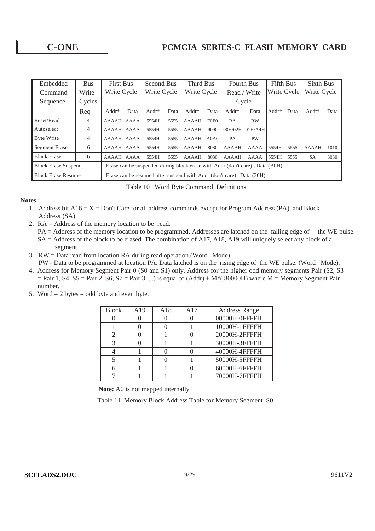| Embedded                   | <b>Bus</b> |              | <b>First Bus</b> |                                                                              | Second Bus |                                                                       | Third Bus                    |              | <b>Fourth Bus</b>     |             | <b>Fifth Bus</b> |              | Sixth Bus |  |
|----------------------------|------------|--------------|------------------|------------------------------------------------------------------------------|------------|-----------------------------------------------------------------------|------------------------------|--------------|-----------------------|-------------|------------------|--------------|-----------|--|
| Command                    | Write      | Write Cycle  |                  | Write Cycle                                                                  |            | Write Cycle                                                           |                              | Read / Write |                       | Write Cycle |                  | Write Cycle  |           |  |
| Sequence                   | Cycles     |              |                  |                                                                              |            |                                                                       | Cycle                        |              |                       |             |                  |              |           |  |
|                            | Req        | $Addr*$      | Data             | $Addr*$                                                                      | Data       | $Addr*$                                                               | Data                         | Addr*        | Data                  | Addr*       | Data             | Addr*        | Data      |  |
| Reset/Read                 | 4          | <b>AAAAH</b> | <b>AAAA</b>      | 5554H                                                                        | 5555       | <b>AAAAH</b>                                                          | F <sub>0F</sub> <sub>0</sub> | RA           | <b>RW</b>             |             |                  |              |           |  |
| Autoselect                 | 4          | <b>AAAAH</b> | <b>AAAA</b>      | 5554H                                                                        | 5555       | <b>AAAAH</b>                                                          | 9090                         | 00H/02H      | 01H/A4H               |             |                  |              |           |  |
| Byte Write                 | 4          | AAAAH AAAA   |                  | 5554H                                                                        | 5555       | <b>AAAAH</b>                                                          | A0A0                         | PA           | <b>PW</b>             |             |                  |              |           |  |
| Segment Erase              | 6          | AAAAH        | <b>AAAA</b>      | 5554H                                                                        | 5555       | <b>AAAAH</b>                                                          | 8080                         | <b>AAAAH</b> | <b>AAAA</b>           | 5554H       | 5555             | <b>AAAAH</b> | 1010      |  |
| <b>Block Erase</b>         | 6          | <b>AAAAH</b> | <b>AAAA</b>      | 5554H                                                                        | 5555       | <b>AAAAH</b>                                                          | 8080                         | <b>AAAAH</b> | 5554H<br>AAAA<br>5555 |             |                  |              | 3030      |  |
| <b>Block Erase Suspend</b> |            |              |                  | Erase can be suspended during block erase with Addr (don't care), Data (B0H) |            |                                                                       |                              |              |                       |             |                  |              |           |  |
| <b>Block Erase Resume</b>  |            |              |                  |                                                                              |            | Erase can be resumed after suspend with Addr (don't care), Data (30H) |                              |              |                       |             |                  |              |           |  |

Table 10 Word Byte Command Definitions

#### **Notes** :

- 1. Address bit  $A16 = X =$  Don't Care for all address commands except for Program Address (PA), and Block Address (SA).
- 2. RA = Address of the memory location to be read.
	- PA = Address of the memory location to be programmed. Addresses are latched on the falling edge of the WE pulse. SA = Address of the block to be erased. The combination of A17, A18, A19 will uniquely select any block of a segment.
- 3. RW = Data read from location RA during read operation.(Word Mode).
- PW= Data to be programmed at location PA. Data latched is on the rising edge of the WE pulse. (Word Mode). 4. Address for Memory Segment Pair 0 (S0 and S1) only. Address for the higher odd memory segments Pair (S2, S3  $=$  Pair 1, S4, S5 = Pair 2, S6, S7 = Pair 3 ....) is equal to  $(Addr) + M*(80000H)$  where M = Memory Segment Pair number.
- 5. Word  $= 2$  bytes  $=$  odd byte and even byte.

| <b>Block</b>  | A19 | A18 | A17 | <b>Address Range</b> |
|---------------|-----|-----|-----|----------------------|
|               |     |     |     | 00000H-0FFFFH        |
|               |     |     |     | 10000H-1FFFFH        |
| $\mathcal{D}$ |     |     |     | 20000H-2FFFFH        |
|               |     |     |     | 30000H-3FFFFH        |
|               |     |     |     | 40000H-4FFFFH        |
|               |     |     |     | 50000H-5FFFFH        |
|               |     |     |     | 60000H-6FFFFH        |
|               |     |     |     | 70000H-7FFFFH        |

**Note:** A0 is not mapped internally

Table 11 Memory Block Address Table for Memory Segment S0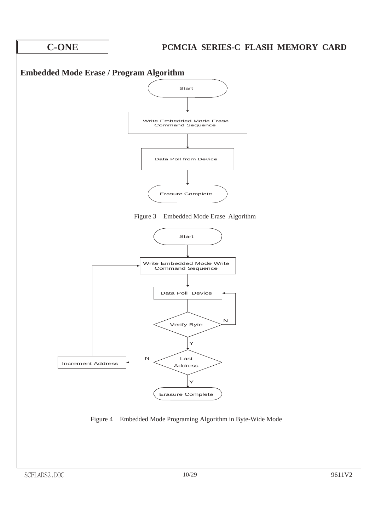

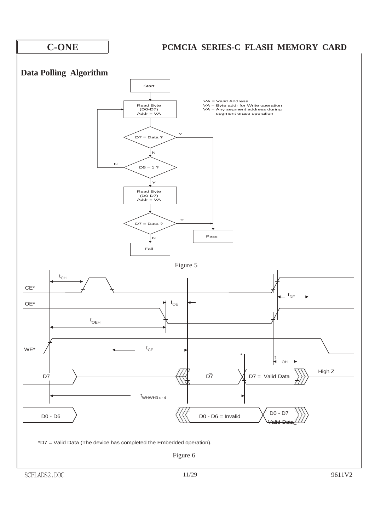

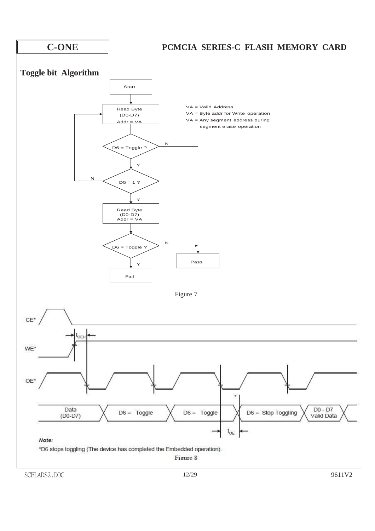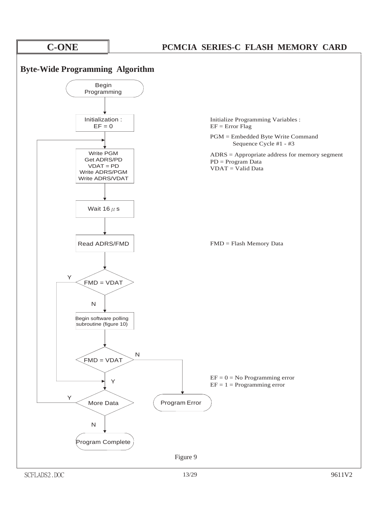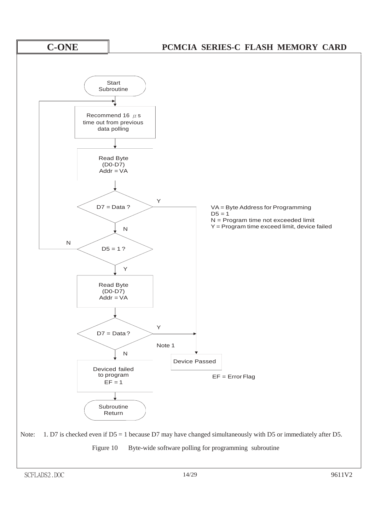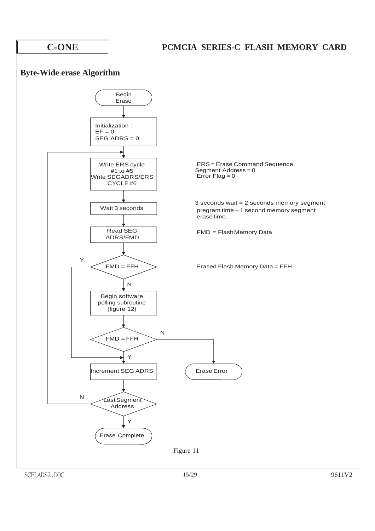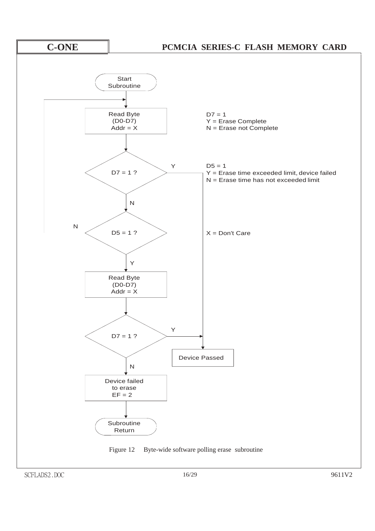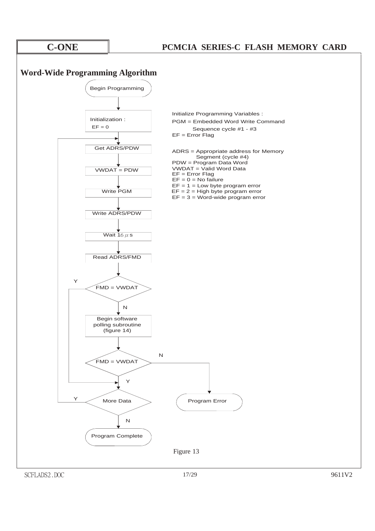### **Word-Wide Programming Algorithm**



SCFLADS2.DOC 17/29 9611V2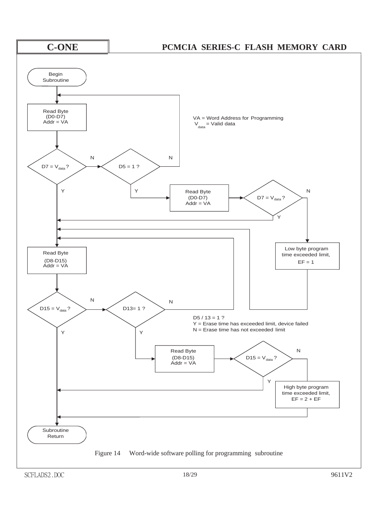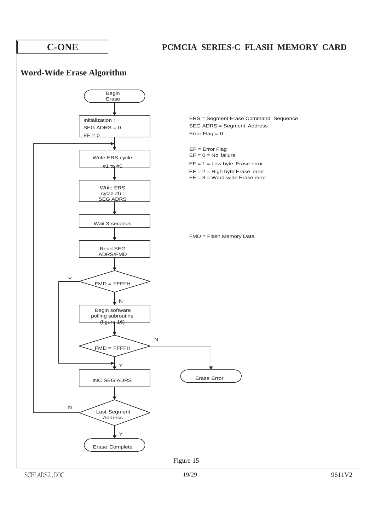### **Word-Wide Erase Algorithm**

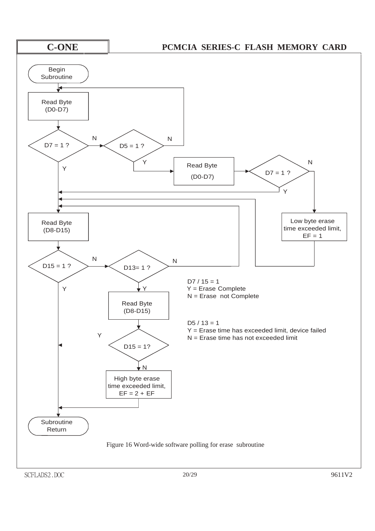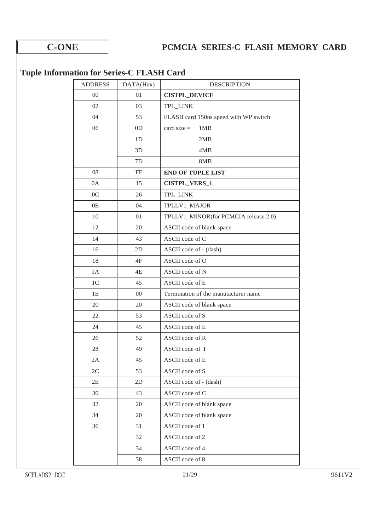## **Tuple Information for Series-C FLASH Card**

| <b>ADDRESS</b> | DATA(Hex)      | <b>DESCRIPTION</b>                    |
|----------------|----------------|---------------------------------------|
| $00\,$         | 01             | <b>CISTPL_DEVICE</b>                  |
| 02             | 03             | TPL_LINK                              |
| 04             | 53             | FLASH card 150ns speed with WP switch |
| 06             | 0 <sub>D</sub> | card size $=$<br>1MB                  |
|                | 1 <sub>D</sub> | 2MB                                   |
|                | 3D             | 4MB                                   |
|                | 7D             | 8MB                                   |
| 08             | FF             | <b>END OF TUPLE LIST</b>              |
| 0A             | 15             | <b>CISTPL_VERS_1</b>                  |
| 0 <sup>C</sup> | 26             | TPL_LINK                              |
| 0E             | 04             | TPLLV1_MAJOR                          |
| 10             | 01             | TPLLV1_MINOR(for PCMCIA release 2.0)  |
| 12             | 20             | ASCII code of blank space             |
| 14             | 43             | ASCII code of C                       |
| 16             | 2D             | ASCII code of - (dash)                |
| 18             | 4F             | ASCII code of O                       |
| 1A             | 4E             | ASCII code of N                       |
| 1 <sup>C</sup> | 45             | ASCII code of E                       |
| 1E             | $00\,$         | Termination of the manutacturer name  |
| 20             | 20             | ASCII code of blank space             |
| 22             | 53             | ASCII code of S                       |
| 24             | 45             | ASCII code of E                       |
| 26             | 52             | ASCII code of R                       |
| 28             | 49             | ASCII code of I                       |
| 2A             | 45             | ASCII code of E                       |
| 2C             | 53             | ASCII code of S                       |
| 2E             | 2D             | ASCII code of - (dash)                |
| 30             | 43             | ASCII code of C                       |
| 32             | 20             | ASCII code of blank space             |
| 34             | 20             | ASCII code of blank space             |
| 36             | 31             | ASCII code of 1                       |
|                | 32             | ASCII code of 2                       |
|                | 34             | ASCII code of 4                       |
|                | 38             | ASCII code of 8                       |
|                |                |                                       |

SCFLADS2.DOC 21/29 9611V2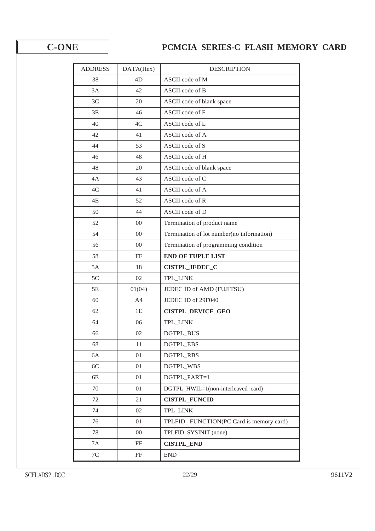| <b>ADDRESS</b> | DATA(Hex)      | <b>DESCRIPTION</b>                        |
|----------------|----------------|-------------------------------------------|
| 38             | 4D             | ASCII code of M                           |
| 3A             | 42             | ASCII code of B                           |
| 3C             | 20             | ASCII code of blank space                 |
| 3E             | 46             | ASCII code of F                           |
| 40             | 4C             | ASCII code of L                           |
| 42             | 41             | ASCII code of A                           |
| 44             | 53             | ASCII code of S                           |
| 46             | 48             | ASCII code of H                           |
| 48             | 20             | ASCII code of blank space                 |
| 4A             | 43             | ASCII code of C                           |
| 4C             | 41             | ASCII code of A                           |
| 4E             | 52             | ASCII code of R                           |
| 50             | 44             | ASCII code of D                           |
| 52             | $00\,$         | Termination of product name               |
| 54             | 00             | Termination of lot number(no information) |
| 56             | 00             | Termination of programming condition      |
| 58             | FF             | <b>END OF TUPLE LIST</b>                  |
| 5A             | 18             | CISTPL_JEDEC_C                            |
| 5C             | 02             | TPL_LINK                                  |
| 5E             | 01(04)         | JEDEC ID of AMD (FUJITSU)                 |
| 60             | A <sub>4</sub> | JEDEC ID of 29F040                        |
| 62             | 1E             | <b>CISTPL_DEVICE_GEO</b>                  |
| 64             | 06             | TPL_LINK                                  |
| 66             | 02             | DGTPL_BUS                                 |
| 68             | 11             | DGTPL_EBS                                 |
| 6A             | 01             | <b>DGTPL_RBS</b>                          |
| 6C             | 01             | <b>DGTPL_WBS</b>                          |
| 6E             | 01             | DGTPL_PART=1                              |
| 70             | 01             | DGTPL HWIL=1(non-interleaved card)        |
| 72             | 21             | <b>CISTPL_FUNCID</b>                      |
| 74             | 02             | TPL_LINK                                  |
| 76             | 01             | TPLFID_FUNCTION(PC Card is memory card)   |
| 78             | $00\,$         | TPLFID_SYSINIT (none)                     |
| 7A             | FF             | <b>CISTPL_END</b>                         |
| $7\mathrm{C}$  | FF             | <b>END</b>                                |
|                |                |                                           |

SCFLADS2.DOC 22/29 9611V2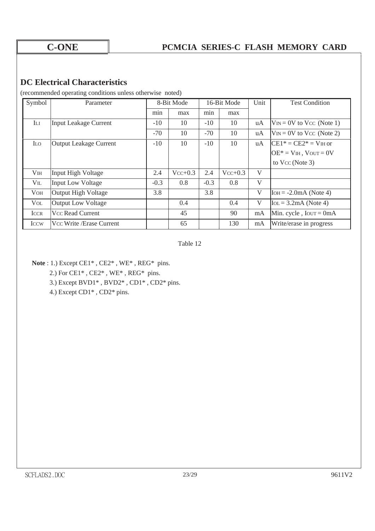### **DC Electrical Characteristics**

(recommended operating conditions unless otherwise noted)

| Symbol                 | Parameter                     |        | 8-Bit Mode |        | 16-Bit Mode |    | <b>Test Condition</b>                 |
|------------------------|-------------------------------|--------|------------|--------|-------------|----|---------------------------------------|
|                        |                               | min    | max        | min    | max         |    |                                       |
| Iп                     | <b>Input Leakage Current</b>  | $-10$  | 10         | $-10$  | 10          | uA | $V_{IN} = 0V$ to Vcc (Note 1)         |
|                        |                               | $-70$  | 10         | $-70$  | 10          | uA | $V_{IN} = 0V$ to Vcc (Note 2)         |
| <b>ILO</b>             | <b>Output Leakage Current</b> | $-10$  | 10         | $-10$  | 10          | uA | $CE1* = CE2* = VIH$ or                |
|                        |                               |        |            |        |             |    | $OE* = VH$ , $VOUT = 0V$              |
|                        |                               |        |            |        |             |    | to $Vcc$ (Note 3)                     |
| V <sub>IH</sub>        | Input High Voltage            | 2.4    | $Vcc+0.3$  | 2.4    | $Vcc+0.3$   | V  |                                       |
| $V_{IL}$               | <b>Input Low Voltage</b>      | $-0.3$ | 0.8        | $-0.3$ | 0.8         | V  |                                       |
| <b>VOH</b>             | <b>Output High Voltage</b>    | 3.8    |            | 3.8    |             | V  | $I$ OH = $-2.0$ mA (Note 4)           |
| <b>V</b> <sub>OL</sub> | <b>Output Low Voltage</b>     |        | 0.4        |        | 0.4         | V  | $\text{IoL} = 3.2 \text{mA}$ (Note 4) |
| <b>ICCR</b>            | Vcc Read Current              |        | 45         |        | 90          | mA | Min. cycle, $I$ our = 0mA             |
| <b>ICCW</b>            | Vcc Write / Erase Current     |        | 65         |        | 130         | mA | Write/erase in progress               |

Table 12

**Note** : 1.) Except CE1\* , CE2\* , WE\* , REG\* pins.

2.) For CE1\* , CE2\* , WE\* , REG\* pins.

3.) Except BVD1\* , BVD2\* , CD1\* , CD2\* pins.

4.) Except CD1\* , CD2\* pins.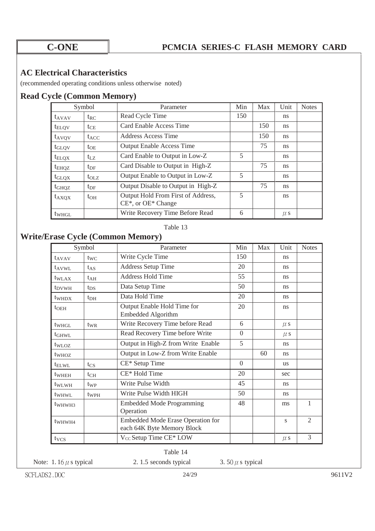## **AC Electrical Characteristics**

(recommended operating conditions unless otherwise noted)

## **Read Cycle (Common Memory)**

| Symbol            |               | Parameter                                                       |     | Max | Unit    | <b>Notes</b> |
|-------------------|---------------|-----------------------------------------------------------------|-----|-----|---------|--------------|
| $t_{AVAV}$        | $t_{RC}$      | Read Cycle Time                                                 | 150 |     | ns      |              |
| $t_{\text{ELOV}}$ | $t_{\rm CE}$  | Card Enable Access Time                                         |     | 150 | ns.     |              |
| $t_{AVQV}$        | $t_{ACC}$     | Address Access Time                                             |     | 150 | ns.     |              |
| $t_{\text{GLOV}}$ | $t_{OE}$      | <b>Output Enable Access Time</b>                                |     | 75  | ns      |              |
| $t_{\text{ELQX}}$ | $t_{\rm LZ}$  | Card Enable to Output in Low-Z                                  | 5   |     | ns      |              |
| $t_{EHQZ}$        | $t_{\rm DF}$  | Card Disable to Output in High-Z                                |     | 75  | ns.     |              |
| $t_{\text{GLQX}}$ | $t_{\rm O1Z}$ | Output Enable to Output in Low-Z                                | 5   |     | ns      |              |
| $t_{GHQZ}$        | $t_{\rm DF}$  | Output Disable to Output in High-Z                              |     | 75  | ns      |              |
| $t_{\rm AXQX}$    | $t_{OH}$      | Output Hold From First of Address,<br>$CE^*$ , or $OE^*$ Change | 5   |     | ns      |              |
|                   |               |                                                                 | 6   |     |         |              |
| t <sub>WHGL</sub> |               | Write Recovery Time Before Read                                 |     |     | $\mu$ s |              |

#### Table 13

## **Write/Erase Cycle (Common Memory)**

|                    | Symbol           | Parameter                                                       | Min      | Max | Unit          | <b>Notes</b>                |
|--------------------|------------------|-----------------------------------------------------------------|----------|-----|---------------|-----------------------------|
| $t_{AVAV}$         | $t_{WC}$         | Write Cycle Time                                                | 150      |     | ns            |                             |
| $t_{\rm AVWI}$     | $t_{AS}$         | <b>Address Setup Time</b>                                       | 20       |     | ns            |                             |
| t <sub>WLAX</sub>  | $t_{AH}$         | <b>Address Hold Time</b>                                        | 55       |     | <sub>ns</sub> |                             |
| $t_{\rm D VWH}$    | $t_{DS}$         | Data Setup Time                                                 | 50       |     | ns            |                             |
| t <sub>whd</sub> x | $t_{\rm DH}$     | Data Hold Time                                                  | 20       |     | ns            |                             |
| $t_{\rm OEH}$      |                  | Output Enable Hold Time for<br>Embedded Algorithm               | 20       |     | <sub>ns</sub> |                             |
| twhgL              | $t_{WR}$         | Write Recovery Time before Read                                 | 6        |     | $\mu$ s       |                             |
| $t$ GHWL           |                  | Read Recovery Time before Write                                 | $\Omega$ |     | $\mu$ s       |                             |
| twloz              |                  | Output in High-Z from Write Enable                              | 5        |     | ns            |                             |
| t <sub>WHOZ</sub>  |                  | Output in Low-Z from Write Enable                               |          | 60  | ns            |                             |
| $t_{\text{ELWL}}$  | $t_{CS}$         | CE* Setup Time                                                  | $\Omega$ |     | <b>us</b>     |                             |
| twheh              | $t_{CH}$         | CE* Hold Time                                                   | 20       |     | sec           |                             |
| $t_{\text{WLWH}}$  | $t_{WP}$         | Write Pulse Width                                               | 45       |     | <sub>ns</sub> |                             |
| t <sub>WHWL</sub>  | t <sub>WPH</sub> | Write Pulse Width HIGH                                          | 50       |     | ns            |                             |
| t <sub>WHWH3</sub> |                  | <b>Embedded Mode Programming</b><br>Operation                   | 48       |     | ms            | 1                           |
| t <sub>WHWH4</sub> |                  | Embedded Mode Erase Operation for<br>each 64K Byte Memory Block |          |     | S             | $\mathcal{D}_{\mathcal{L}}$ |
| tycs               |                  | V <sub>CC</sub> Setup Time CE* LOW                              |          |     | $\mu$ s       | 3                           |

Table 14

| Note: 1.16 $\mu$ s typical<br>2.1.5 seconds typical | 3. 50 $\mu$ s typical |
|-----------------------------------------------------|-----------------------|
|-----------------------------------------------------|-----------------------|

s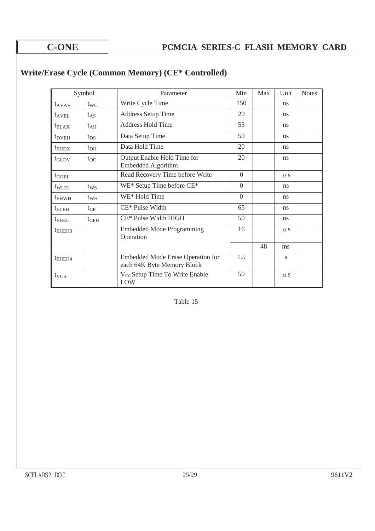|                   | Symbol          | Parameter                                                       | Min      | Max | Unit          | <b>Notes</b> |
|-------------------|-----------------|-----------------------------------------------------------------|----------|-----|---------------|--------------|
| $t_{AVAV}$        | $t_{\text{WC}}$ | Write Cycle Time                                                | 150      |     | ns            |              |
| $t_{\rm AVEI}$    | $t_{AS}$        | <b>Address Setup Time</b>                                       | 20       |     | ns            |              |
| $t_{\text{ELAX}}$ | $t_{\rm AH}$    | <b>Address Hold Time</b>                                        | 55       |     | <sub>ns</sub> |              |
| $t_{DVEH}$        | $t_{DS}$        | Data Setup Time                                                 | 50       |     | <sub>ns</sub> |              |
| $t_{EHDX}$        | $t_{\rm DH}$    | Data Hold Time                                                  | 20       |     | ns            |              |
| $t_{\text{GLDV}}$ | $t_{OE}$        | Output Enable Hold Time for<br>Embedded Algorithm               | 20       |     | <sub>ns</sub> |              |
| $t_{\text{GHEL}}$ |                 | Read Recovery Time before Write                                 | $\Omega$ |     | $\mu$ s       |              |
| $t_{\text{WLEL}}$ | tws             | WE* Setup Time before CE*                                       | $\Omega$ |     | ns            |              |
| $t_{EHWH}$        | $t_{WH}$        | WE* Hold Time                                                   | $\Omega$ |     | <sub>ns</sub> |              |
| $t_{\rm ELEH}$    | $t_{CP}$        | CE* Pulse Width                                                 | 65       |     | ns            |              |
| $t_{\rm EHEL}$    | $t_{\rm{CPH}}$  | CE* Pulse Width HIGH                                            | 50       |     | ns            |              |
| $t_{EHEH3}$       |                 | <b>Embedded Mode Programming</b><br>Operation                   | 16       |     | $\mu$ s       |              |
|                   |                 |                                                                 |          | 48  | ms            |              |
| $t_{EHEH4}$       |                 | Embedded Mode Erase Operation for<br>each 64K Byte Memory Block | 1.5      |     | S             |              |
| $t_{VCS}$         |                 | V <sub>CC</sub> Setup Time To Write Enable<br>LOW               | 50       |     | $\mu$ s       |              |

## **Write/Erase Cycle (Common Memory) (CE\* Controlled)**

Table 15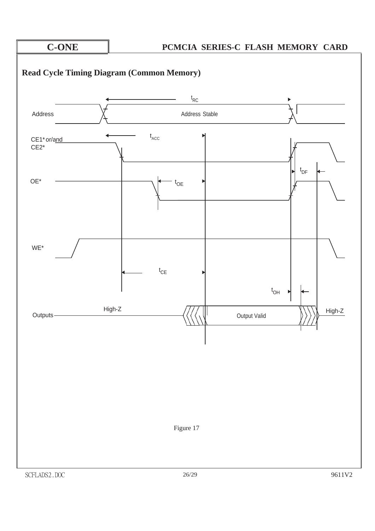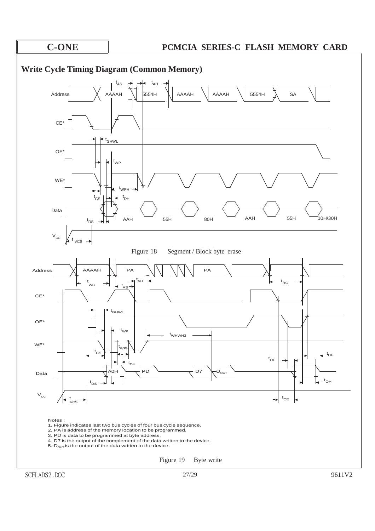

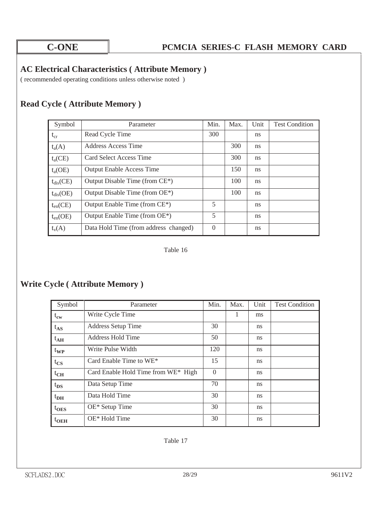### **AC Electrical Characteristics ( Attribute Memory )**

( recommended operating conditions unless otherwise noted )

## **Read Cycle ( Attribute Memory )**

| Symbol         | Parameter                                   | Min.     | Max. | Unit | <b>Test Condition</b> |
|----------------|---------------------------------------------|----------|------|------|-----------------------|
| $t_{cr}$       | Read Cycle Time                             | 300      |      | ns   |                       |
| $t_a(A)$       | Address Access Time                         |          | 300  | ns   |                       |
| $t_a(CE)$      | Card Select Access Time                     |          | 300  | ns   |                       |
| $t_a(OE)$      | <b>Output Enable Access Time</b>            |          | 150  | ns   |                       |
| $t_{dis}(CE)$  | Output Disable Time (from CE <sup>*</sup> ) |          | 100  | ns   |                       |
| $t_{dis}$ (OE) | Output Disable Time (from OE*)              |          | 100  | ns   |                       |
| $t_{en}(CE)$   | Output Enable Time (from CE*)               | 5        |      | ns   |                       |
| $t_{en}(OE)$   | Output Enable Time (from OE*)               | 5        |      | ns   |                       |
| $t_v(A)$       | Data Hold Time (from address changed)       | $\Omega$ |      | ns   |                       |

Table 16

## **Write Cycle ( Attribute Memory )**

| Symbol       | Parameter                           | Min.     | Max. | Unit | <b>Test Condition</b> |
|--------------|-------------------------------------|----------|------|------|-----------------------|
| $t_{\rm cw}$ | Write Cycle Time                    |          | 1    | ms   |                       |
| $t_{AS}$     | <b>Address Setup Time</b>           | 30       |      | ns   |                       |
| $t_{AH}$     | <b>Address Hold Time</b>            | 50       |      | ns   |                       |
| $t_{WP}$     | Write Pulse Width                   | 120      |      | ns   |                       |
| $t_{CS}$     | Card Enable Time to WE*             | 15       |      | ns   |                       |
| $t_{CH}$     | Card Enable Hold Time from WE* High | $\Omega$ |      | ns   |                       |
| $t_{DS}$     | Data Setup Time                     | 70       |      | ns   |                       |
| $t_{\rm DH}$ | Data Hold Time                      | 30       |      | ns   |                       |
| $t_{OES}$    | OE* Setup Time                      | 30       |      | ns   |                       |
| $t_{OEH}$    | $OE*$ Hold Time                     | 30       |      | ns   |                       |

Table 17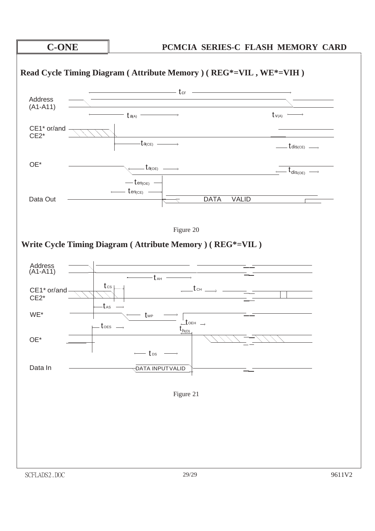